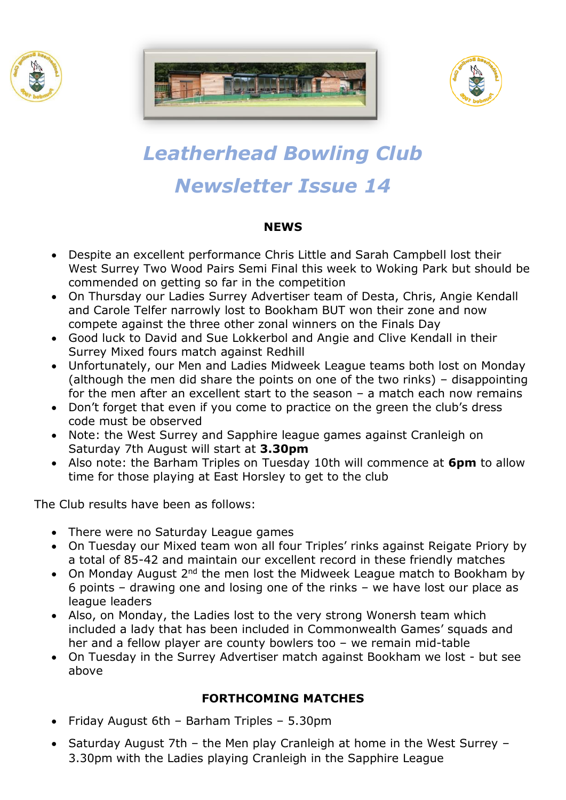





# *Leatherhead Bowling Club Newsletter Issue 14*

## **NEWS**

- Despite an excellent performance Chris Little and Sarah Campbell lost their West Surrey Two Wood Pairs Semi Final this week to Woking Park but should be commended on getting so far in the competition
- On Thursday our Ladies Surrey Advertiser team of Desta, Chris, Angie Kendall and Carole Telfer narrowly lost to Bookham BUT won their zone and now compete against the three other zonal winners on the Finals Day
- Good luck to David and Sue Lokkerbol and Angie and Clive Kendall in their Surrey Mixed fours match against Redhill
- Unfortunately, our Men and Ladies Midweek League teams both lost on Monday (although the men did share the points on one of the two rinks) – disappointing for the men after an excellent start to the season – a match each now remains
- Don't forget that even if you come to practice on the green the club's dress code must be observed
- Note: the West Surrey and Sapphire league games against Cranleigh on Saturday 7th August will start at **3.30pm**
- Also note: the Barham Triples on Tuesday 10th will commence at **6pm** to allow time for those playing at East Horsley to get to the club

The Club results have been as follows:

- There were no Saturday League games
- On Tuesday our Mixed team won all four Triples' rinks against Reigate Priory by a total of 85-42 and maintain our excellent record in these friendly matches
- On Monday August 2<sup>nd</sup> the men lost the Midweek League match to Bookham by 6 points – drawing one and losing one of the rinks – we have lost our place as league leaders
- Also, on Monday, the Ladies lost to the very strong Wonersh team which included a lady that has been included in Commonwealth Games' squads and her and a fellow player are county bowlers too – we remain mid-table
- On Tuesday in the Surrey Advertiser match against Bookham we lost but see above

# **FORTHCOMING MATCHES**

- Friday August 6th Barham Triples 5.30pm
- Saturday August 7th the Men play Cranleigh at home in the West Surrey 3.30pm with the Ladies playing Cranleigh in the Sapphire League